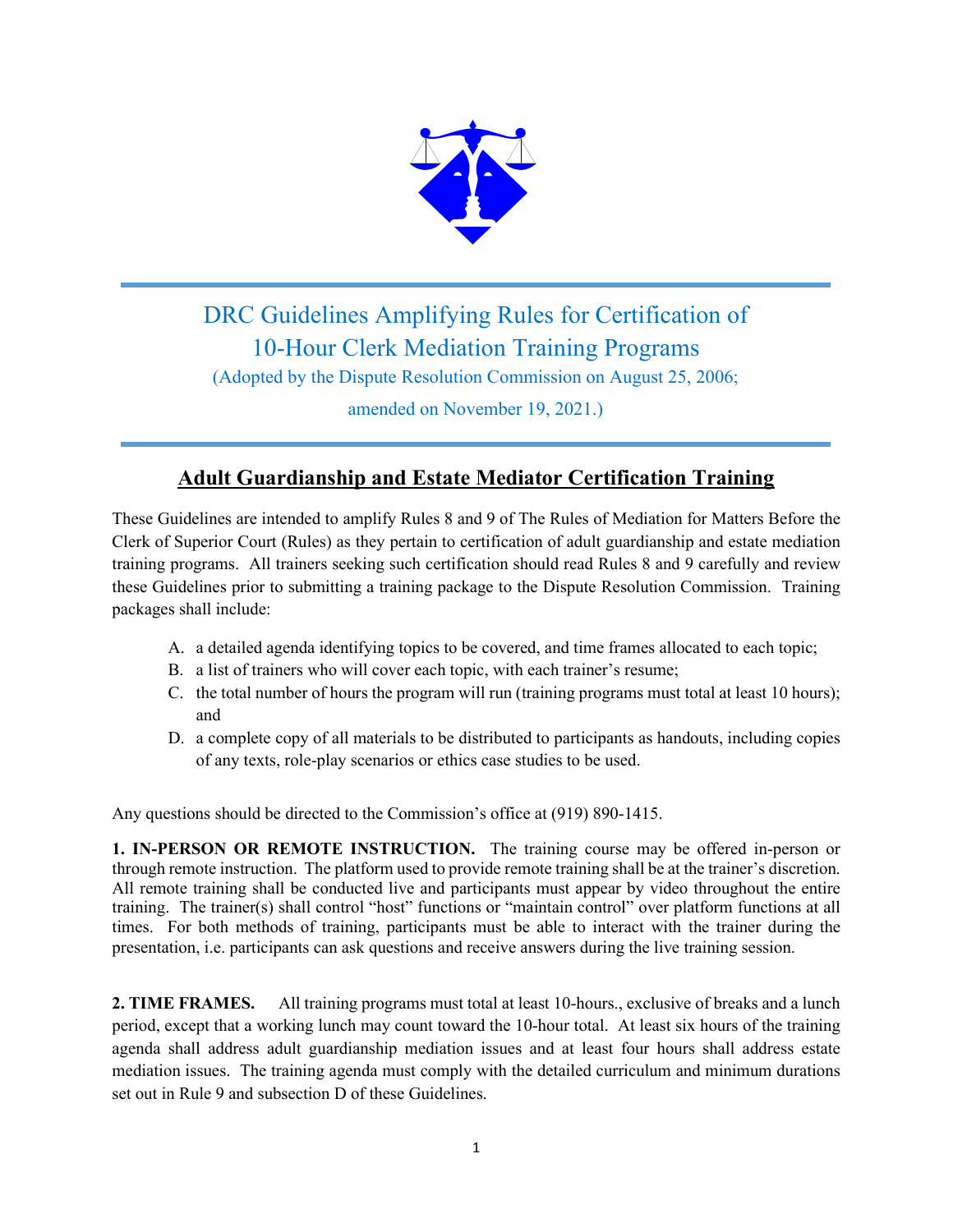

## DRC Guidelines Amplifying Rules for Certification of 10-Hour Clerk Mediation Training Programs

(Adopted by the Dispute Resolution Commission on August 25, 2006;

amended on November 19, 2021.)

## **Adult Guardianship and Estate Mediator Certification Training**

These Guidelines are intended to amplify Rules 8 and 9 of The Rules of Mediation for Matters Before the Clerk of Superior Court (Rules) as they pertain to certification of adult guardianship and estate mediation training programs. All trainers seeking such certification should read Rules 8 and 9 carefully and review these Guidelines prior to submitting a training package to the Dispute Resolution Commission. Training packages shall include:

- A. a detailed agenda identifying topics to be covered, and time frames allocated to each topic;
- B. a list of trainers who will cover each topic, with each trainer's resume;
- C. the total number of hours the program will run (training programs must total at least 10 hours); and
- D. a complete copy of all materials to be distributed to participants as handouts, including copies of any texts, role-play scenarios or ethics case studies to be used.

Any questions should be directed to the Commission's office at (919) 890-1415.

**1. IN-PERSON OR REMOTE INSTRUCTION.** The training course may be offered in-person or through remote instruction. The platform used to provide remote training shall be at the trainer's discretion. All remote training shall be conducted live and participants must appear by video throughout the entire training. The trainer(s) shall control "host" functions or "maintain control" over platform functions at all times. For both methods of training, participants must be able to interact with the trainer during the presentation, i.e. participants can ask questions and receive answers during the live training session.

**2. TIME FRAMES.** All training programs must total at least 10-hours., exclusive of breaks and a lunch period, except that a working lunch may count toward the 10-hour total. At least six hours of the training agenda shall address adult guardianship mediation issues and at least four hours shall address estate mediation issues. The training agenda must comply with the detailed curriculum and minimum durations set out in Rule 9 and subsection D of these Guidelines.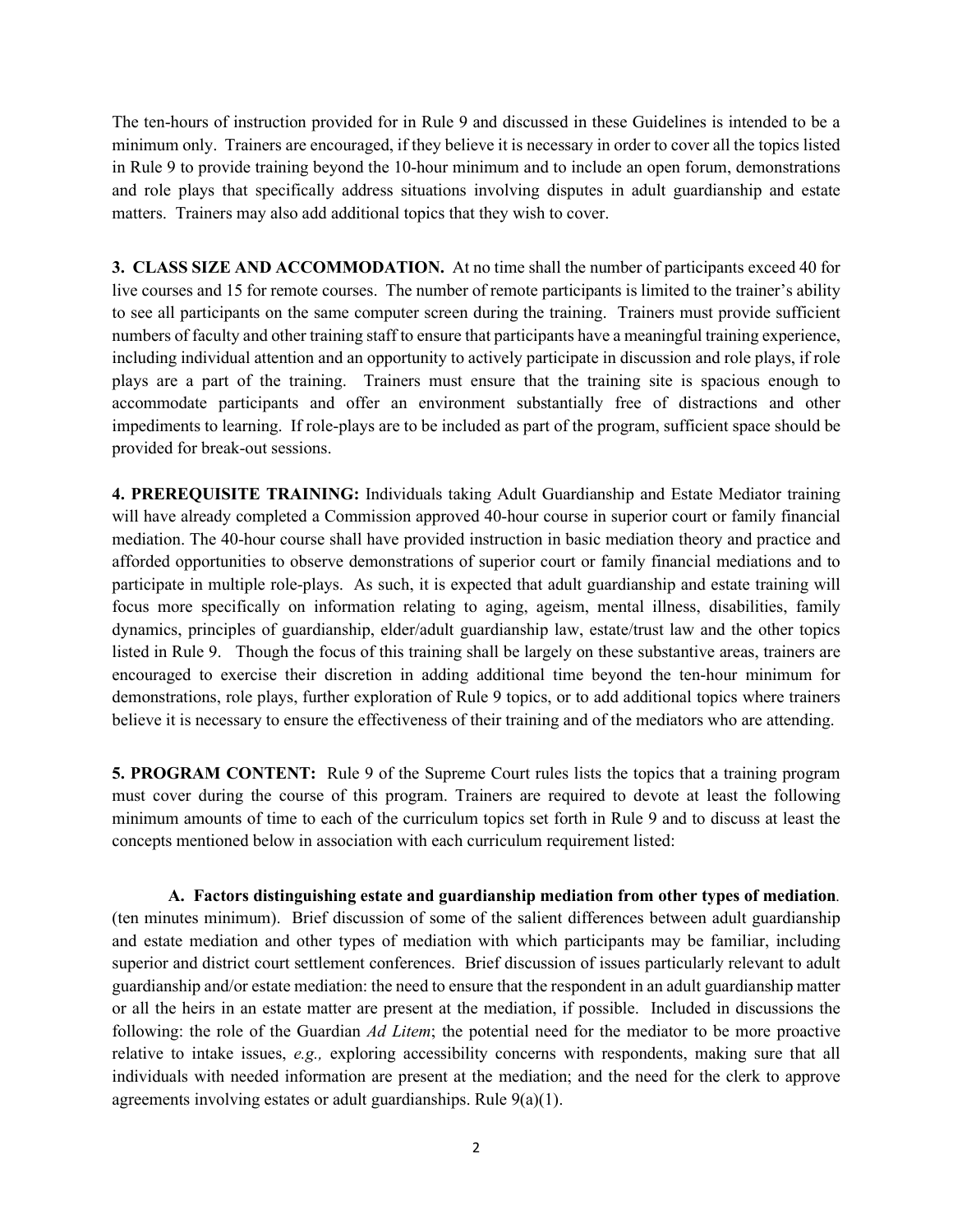The ten-hours of instruction provided for in Rule 9 and discussed in these Guidelines is intended to be a minimum only. Trainers are encouraged, if they believe it is necessary in order to cover all the topics listed in Rule 9 to provide training beyond the 10-hour minimum and to include an open forum, demonstrations and role plays that specifically address situations involving disputes in adult guardianship and estate matters. Trainers may also add additional topics that they wish to cover.

**3. CLASS SIZE AND ACCOMMODATION.** At no time shall the number of participants exceed 40 for live courses and 15 for remote courses. The number of remote participants is limited to the trainer's ability to see all participants on the same computer screen during the training. Trainers must provide sufficient numbers of faculty and other training staff to ensure that participants have a meaningful training experience, including individual attention and an opportunity to actively participate in discussion and role plays, if role plays are a part of the training. Trainers must ensure that the training site is spacious enough to accommodate participants and offer an environment substantially free of distractions and other impediments to learning. If role-plays are to be included as part of the program, sufficient space should be provided for break-out sessions.

**4. PREREQUISITE TRAINING:** Individuals taking Adult Guardianship and Estate Mediator training will have already completed a Commission approved 40-hour course in superior court or family financial mediation. The 40-hour course shall have provided instruction in basic mediation theory and practice and afforded opportunities to observe demonstrations of superior court or family financial mediations and to participate in multiple role-plays. As such, it is expected that adult guardianship and estate training will focus more specifically on information relating to aging, ageism, mental illness, disabilities, family dynamics, principles of guardianship, elder/adult guardianship law, estate/trust law and the other topics listed in Rule 9. Though the focus of this training shall be largely on these substantive areas, trainers are encouraged to exercise their discretion in adding additional time beyond the ten-hour minimum for demonstrations, role plays, further exploration of Rule 9 topics, or to add additional topics where trainers believe it is necessary to ensure the effectiveness of their training and of the mediators who are attending.

**5. PROGRAM CONTENT:** Rule 9 of the Supreme Court rules lists the topics that a training program must cover during the course of this program. Trainers are required to devote at least the following minimum amounts of time to each of the curriculum topics set forth in Rule 9 and to discuss at least the concepts mentioned below in association with each curriculum requirement listed:

**A. Factors distinguishing estate and guardianship mediation from other types of mediation***.* (ten minutes minimum). Brief discussion of some of the salient differences between adult guardianship and estate mediation and other types of mediation with which participants may be familiar, including superior and district court settlement conferences. Brief discussion of issues particularly relevant to adult guardianship and/or estate mediation: the need to ensure that the respondent in an adult guardianship matter or all the heirs in an estate matter are present at the mediation, if possible. Included in discussions the following: the role of the Guardian *Ad Litem*; the potential need for the mediator to be more proactive relative to intake issues, *e.g.,* exploring accessibility concerns with respondents, making sure that all individuals with needed information are present at the mediation; and the need for the clerk to approve agreements involving estates or adult guardianships. Rule  $9(a)(1)$ .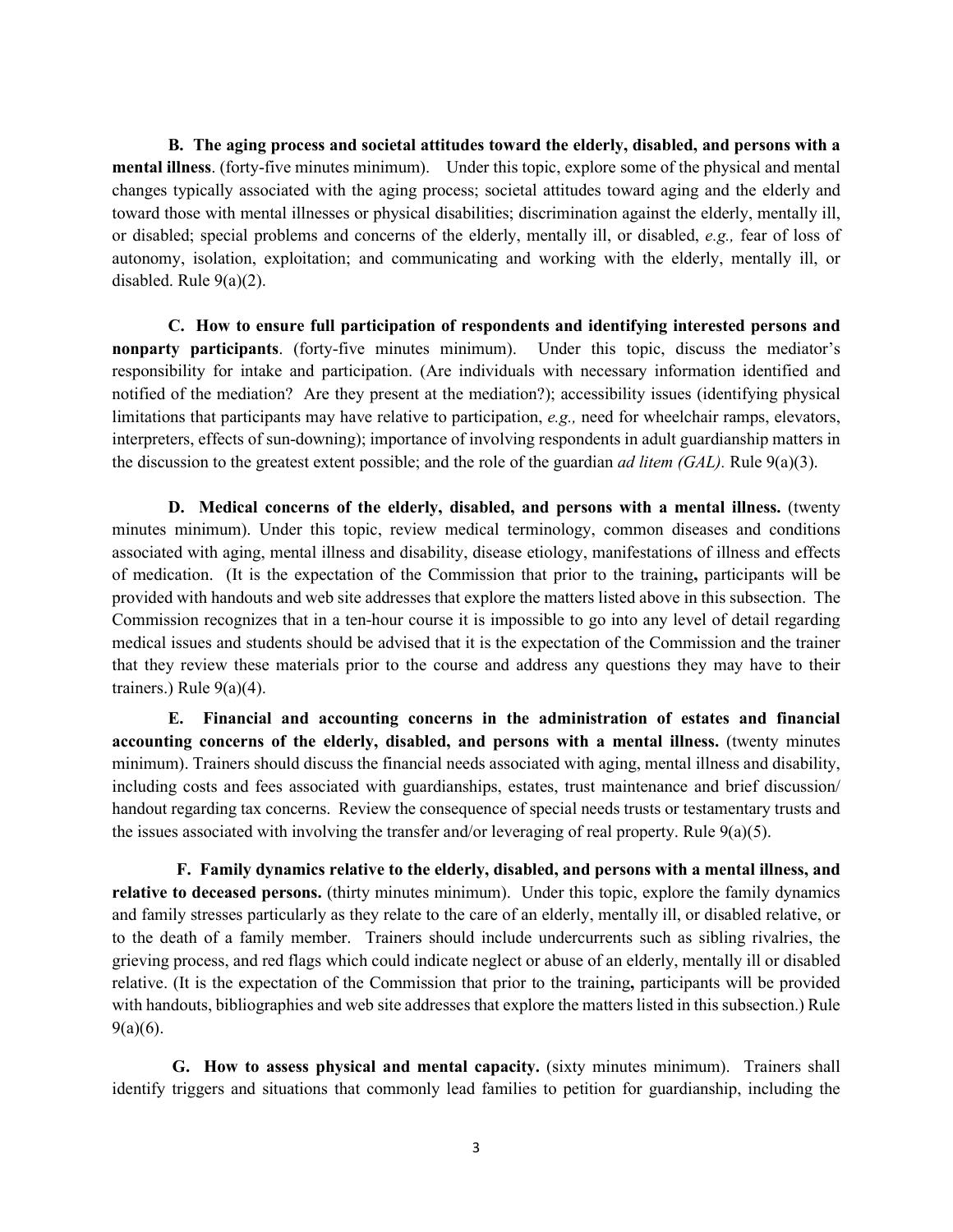**B. The aging process and societal attitudes toward the elderly, disabled, and persons with a mental illness**. (forty-five minutes minimum). Under this topic, explore some of the physical and mental changes typically associated with the aging process; societal attitudes toward aging and the elderly and toward those with mental illnesses or physical disabilities; discrimination against the elderly, mentally ill, or disabled; special problems and concerns of the elderly, mentally ill, or disabled, *e.g.,* fear of loss of autonomy, isolation, exploitation; and communicating and working with the elderly, mentally ill, or disabled. Rule 9(a)(2).

**C. How to ensure full participation of respondents and identifying interested persons and nonparty participants**. (forty-five minutes minimum). Under this topic, discuss the mediator's responsibility for intake and participation. (Are individuals with necessary information identified and notified of the mediation? Are they present at the mediation?); accessibility issues (identifying physical limitations that participants may have relative to participation, *e.g.,* need for wheelchair ramps, elevators, interpreters, effects of sun-downing); importance of involving respondents in adult guardianship matters in the discussion to the greatest extent possible; and the role of the guardian *ad litem (GAL).* Rule 9(a)(3).

**D. Medical concerns of the elderly, disabled, and persons with a mental illness.** (twenty minutes minimum). Under this topic, review medical terminology, common diseases and conditions associated with aging, mental illness and disability, disease etiology, manifestations of illness and effects of medication. (It is the expectation of the Commission that prior to the training**,** participants will be provided with handouts and web site addresses that explore the matters listed above in this subsection. The Commission recognizes that in a ten-hour course it is impossible to go into any level of detail regarding medical issues and students should be advised that it is the expectation of the Commission and the trainer that they review these materials prior to the course and address any questions they may have to their trainers.) Rule  $9(a)(4)$ .

**E. Financial and accounting concerns in the administration of estates and financial accounting concerns of the elderly, disabled, and persons with a mental illness.** (twenty minutes minimum). Trainers should discuss the financial needs associated with aging, mental illness and disability, including costs and fees associated with guardianships, estates, trust maintenance and brief discussion/ handout regarding tax concerns. Review the consequence of special needs trusts or testamentary trusts and the issues associated with involving the transfer and/or leveraging of real property. Rule  $9(a)(5)$ .

 **F. Family dynamics relative to the elderly, disabled, and persons with a mental illness, and relative to deceased persons.** (thirty minutes minimum). Under this topic, explore the family dynamics and family stresses particularly as they relate to the care of an elderly, mentally ill, or disabled relative, or to the death of a family member. Trainers should include undercurrents such as sibling rivalries, the grieving process, and red flags which could indicate neglect or abuse of an elderly, mentally ill or disabled relative. (It is the expectation of the Commission that prior to the training**,** participants will be provided with handouts, bibliographies and web site addresses that explore the matters listed in this subsection.) Rule  $9(a)(6)$ .

**G. How to assess physical and mental capacity.** (sixty minutes minimum). Trainers shall identify triggers and situations that commonly lead families to petition for guardianship, including the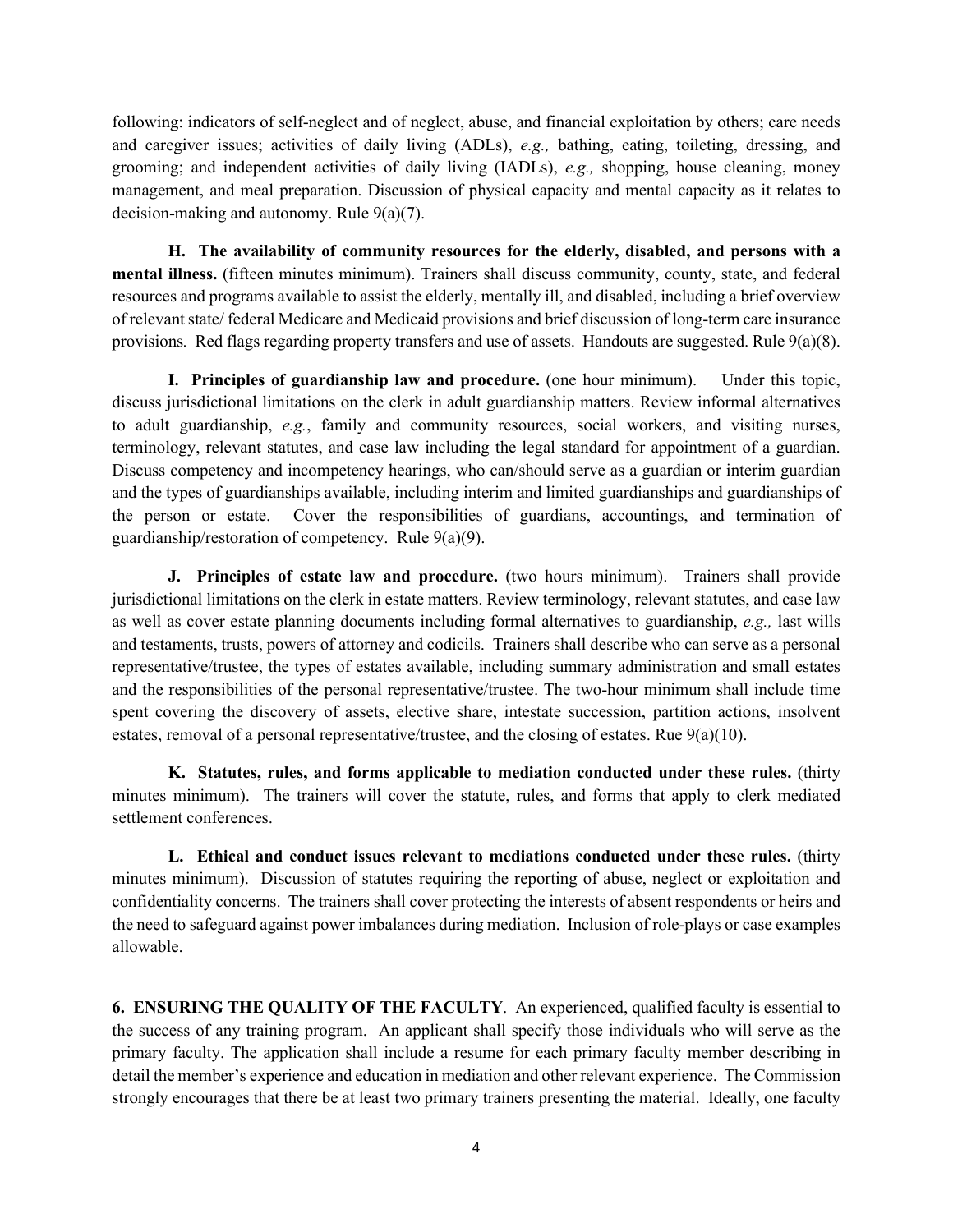following: indicators of self-neglect and of neglect, abuse, and financial exploitation by others; care needs and caregiver issues; activities of daily living (ADLs), *e.g.,* bathing, eating, toileting, dressing, and grooming; and independent activities of daily living (IADLs), *e.g.,* shopping, house cleaning, money management, and meal preparation. Discussion of physical capacity and mental capacity as it relates to decision-making and autonomy. Rule 9(a)(7).

**H. The availability of community resources for the elderly, disabled, and persons with a mental illness.** (fifteen minutes minimum). Trainers shall discuss community, county, state, and federal resources and programs available to assist the elderly, mentally ill, and disabled, including a brief overview of relevant state/ federal Medicare and Medicaid provisions and brief discussion of long-term care insurance provisions*.* Red flags regarding property transfers and use of assets. Handouts are suggested. Rule 9(a)(8).

**I. Principles of guardianship law and procedure.** (one hour minimum). Under this topic, discuss jurisdictional limitations on the clerk in adult guardianship matters. Review informal alternatives to adult guardianship, *e.g.*, family and community resources, social workers, and visiting nurses, terminology, relevant statutes, and case law including the legal standard for appointment of a guardian. Discuss competency and incompetency hearings, who can/should serve as a guardian or interim guardian and the types of guardianships available, including interim and limited guardianships and guardianships of the person or estate. Cover the responsibilities of guardians, accountings, and termination of guardianship/restoration of competency. Rule 9(a)(9).

**J. Principles of estate law and procedure.** (two hours minimum). Trainers shall provide jurisdictional limitations on the clerk in estate matters. Review terminology, relevant statutes, and case law as well as cover estate planning documents including formal alternatives to guardianship, *e.g.,* last wills and testaments, trusts, powers of attorney and codicils. Trainers shall describe who can serve as a personal representative/trustee, the types of estates available, including summary administration and small estates and the responsibilities of the personal representative/trustee. The two-hour minimum shall include time spent covering the discovery of assets, elective share, intestate succession, partition actions, insolvent estates, removal of a personal representative/trustee, and the closing of estates. Rue  $9(a)(10)$ .

**K. Statutes, rules, and forms applicable to mediation conducted under these rules.** (thirty minutes minimum). The trainers will cover the statute, rules, and forms that apply to clerk mediated settlement conferences.

**L. Ethical and conduct issues relevant to mediations conducted under these rules.** (thirty minutes minimum). Discussion of statutes requiring the reporting of abuse, neglect or exploitation and confidentiality concerns. The trainers shall cover protecting the interests of absent respondents or heirs and the need to safeguard against power imbalances during mediation. Inclusion of role-plays or case examples allowable.

**6. ENSURING THE QUALITY OF THE FACULTY**. An experienced, qualified faculty is essential to the success of any training program. An applicant shall specify those individuals who will serve as the primary faculty. The application shall include a resume for each primary faculty member describing in detail the member's experience and education in mediation and other relevant experience. The Commission strongly encourages that there be at least two primary trainers presenting the material. Ideally, one faculty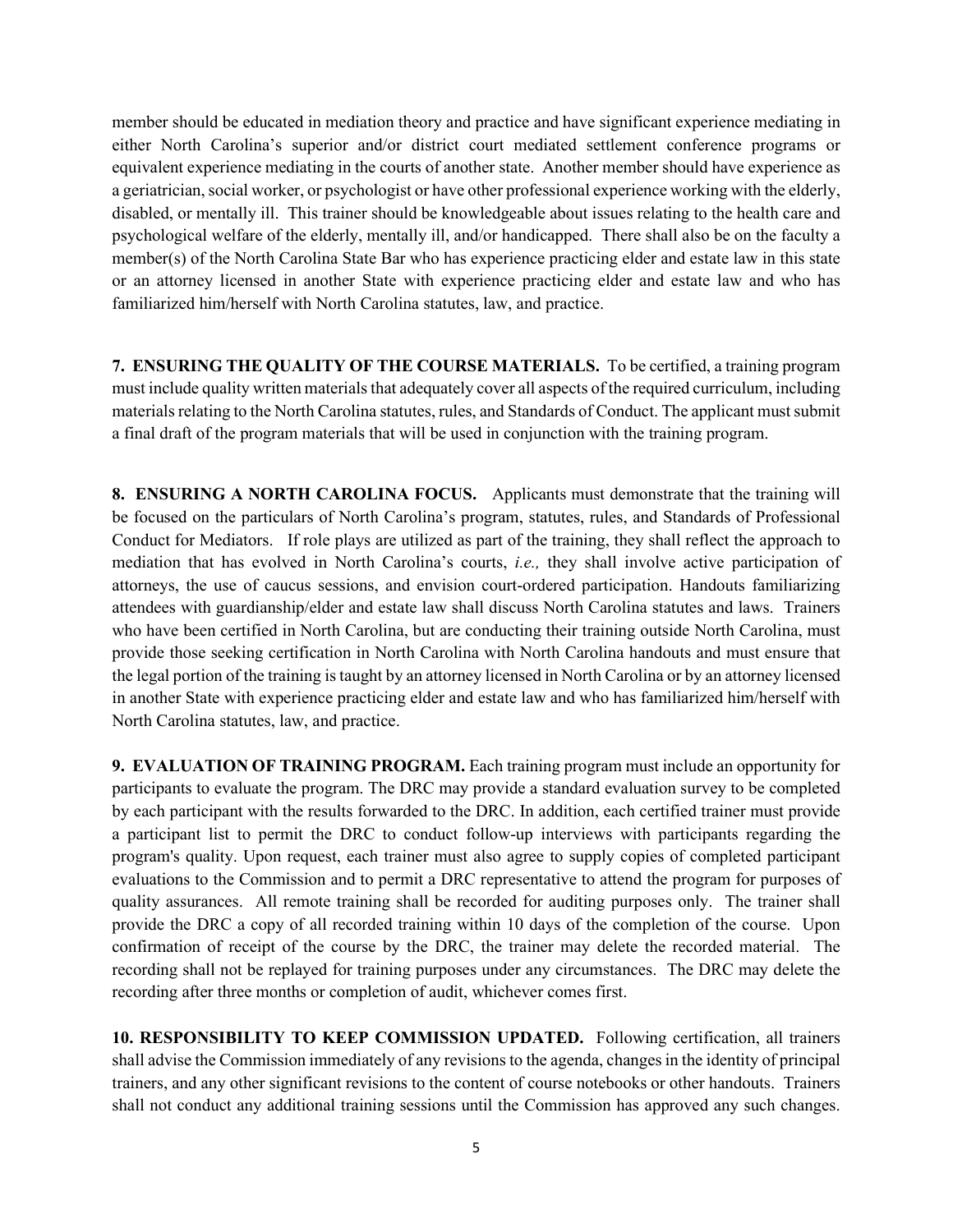member should be educated in mediation theory and practice and have significant experience mediating in either North Carolina's superior and/or district court mediated settlement conference programs or equivalent experience mediating in the courts of another state. Another member should have experience as a geriatrician, social worker, or psychologist or have other professional experience working with the elderly, disabled, or mentally ill. This trainer should be knowledgeable about issues relating to the health care and psychological welfare of the elderly, mentally ill, and/or handicapped. There shall also be on the faculty a member(s) of the North Carolina State Bar who has experience practicing elder and estate law in this state or an attorney licensed in another State with experience practicing elder and estate law and who has familiarized him/herself with North Carolina statutes, law, and practice.

**7. ENSURING THE QUALITY OF THE COURSE MATERIALS.** To be certified, a training program must include quality written materials that adequately cover all aspects of the required curriculum, including materials relating to the North Carolina statutes, rules, and Standards of Conduct. The applicant must submit a final draft of the program materials that will be used in conjunction with the training program.

**8. ENSURING A NORTH CAROLINA FOCUS.** Applicants must demonstrate that the training will be focused on the particulars of North Carolina's program, statutes, rules, and Standards of Professional Conduct for Mediators. If role plays are utilized as part of the training, they shall reflect the approach to mediation that has evolved in North Carolina's courts, *i.e.,* they shall involve active participation of attorneys, the use of caucus sessions, and envision court-ordered participation. Handouts familiarizing attendees with guardianship/elder and estate law shall discuss North Carolina statutes and laws. Trainers who have been certified in North Carolina, but are conducting their training outside North Carolina, must provide those seeking certification in North Carolina with North Carolina handouts and must ensure that the legal portion of the training is taught by an attorney licensed in North Carolina or by an attorney licensed in another State with experience practicing elder and estate law and who has familiarized him/herself with North Carolina statutes, law, and practice.

**9. EVALUATION OF TRAINING PROGRAM.** Each training program must include an opportunity for participants to evaluate the program. The DRC may provide a standard evaluation survey to be completed by each participant with the results forwarded to the DRC. In addition, each certified trainer must provide a participant list to permit the DRC to conduct follow-up interviews with participants regarding the program's quality. Upon request, each trainer must also agree to supply copies of completed participant evaluations to the Commission and to permit a DRC representative to attend the program for purposes of quality assurances. All remote training shall be recorded for auditing purposes only. The trainer shall provide the DRC a copy of all recorded training within 10 days of the completion of the course. Upon confirmation of receipt of the course by the DRC, the trainer may delete the recorded material. The recording shall not be replayed for training purposes under any circumstances. The DRC may delete the recording after three months or completion of audit, whichever comes first.

**10. RESPONSIBILITY TO KEEP COMMISSION UPDATED.** Following certification, all trainers shall advise the Commission immediately of any revisions to the agenda, changes in the identity of principal trainers, and any other significant revisions to the content of course notebooks or other handouts. Trainers shall not conduct any additional training sessions until the Commission has approved any such changes.